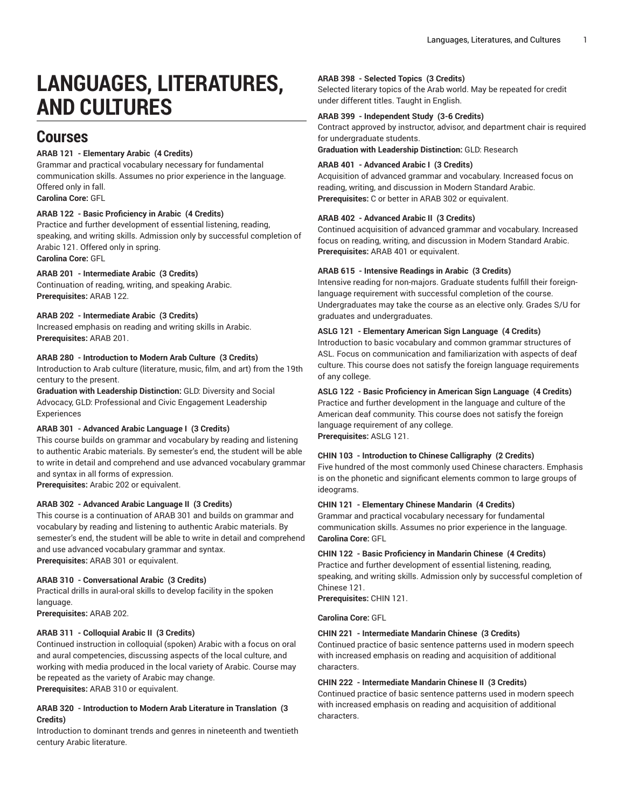# **LANGUAGES, LITERATURES, AND CULTURES**

## **Courses**

## **ARAB 121 - Elementary Arabic (4 Credits)**

Grammar and practical vocabulary necessary for fundamental communication skills. Assumes no prior experience in the language. Offered only in fall. **Carolina Core:** GFL

## **ARAB 122 - Basic Proficiency in Arabic (4 Credits)**

Practice and further development of essential listening, reading, speaking, and writing skills. Admission only by successful completion of Arabic 121. Offered only in spring. **Carolina Core:** GFL

## **ARAB 201 - Intermediate Arabic (3 Credits)**

Continuation of reading, writing, and speaking Arabic. **Prerequisites:** ARAB 122.

## **ARAB 202 - Intermediate Arabic (3 Credits)**

Increased emphasis on reading and writing skills in Arabic. **Prerequisites:** ARAB 201.

## **ARAB 280 - Introduction to Modern Arab Culture (3 Credits)**

Introduction to Arab culture (literature, music, film, and art) from the 19th century to the present.

**Graduation with Leadership Distinction:** GLD: Diversity and Social Advocacy, GLD: Professional and Civic Engagement Leadership Experiences

## **ARAB 301 - Advanced Arabic Language I (3 Credits)**

This course builds on grammar and vocabulary by reading and listening to authentic Arabic materials. By semester's end, the student will be able to write in detail and comprehend and use advanced vocabulary grammar and syntax in all forms of expression.

**Prerequisites:** Arabic 202 or equivalent.

## **ARAB 302 - Advanced Arabic Language II (3 Credits)**

This course is a continuation of ARAB 301 and builds on grammar and vocabulary by reading and listening to authentic Arabic materials. By semester's end, the student will be able to write in detail and comprehend and use advanced vocabulary grammar and syntax. **Prerequisites:** ARAB 301 or equivalent.

## **ARAB 310 - Conversational Arabic (3 Credits)**

Practical drills in aural-oral skills to develop facility in the spoken language.

**Prerequisites:** ARAB 202.

## **ARAB 311 - Colloquial Arabic II (3 Credits)**

Continued instruction in colloquial (spoken) Arabic with a focus on oral and aural competencies, discussing aspects of the local culture, and working with media produced in the local variety of Arabic. Course may be repeated as the variety of Arabic may change. **Prerequisites:** ARAB 310 or equivalent.

## **ARAB 320 - Introduction to Modern Arab Literature in Translation (3 Credits)**

Introduction to dominant trends and genres in nineteenth and twentieth century Arabic literature.

#### **ARAB 398 - Selected Topics (3 Credits)**

Selected literary topics of the Arab world. May be repeated for credit under different titles. Taught in English.

## **ARAB 399 - Independent Study (3-6 Credits)**

Contract approved by instructor, advisor, and department chair is required for undergraduate students.

**Graduation with Leadership Distinction:** GLD: Research

## **ARAB 401 - Advanced Arabic I (3 Credits)**

Acquisition of advanced grammar and vocabulary. Increased focus on reading, writing, and discussion in Modern Standard Arabic. **Prerequisites:** C or better in ARAB 302 or equivalent.

## **ARAB 402 - Advanced Arabic II (3 Credits)**

Continued acquisition of advanced grammar and vocabulary. Increased focus on reading, writing, and discussion in Modern Standard Arabic. **Prerequisites:** ARAB 401 or equivalent.

## **ARAB 615 - Intensive Readings in Arabic (3 Credits)**

Intensive reading for non-majors. Graduate students fulfill their foreignlanguage requirement with successful completion of the course. Undergraduates may take the course as an elective only. Grades S/U for graduates and undergraduates.

## **ASLG 121 - Elementary American Sign Language (4 Credits)**

Introduction to basic vocabulary and common grammar structures of ASL. Focus on communication and familiarization with aspects of deaf culture. This course does not satisfy the foreign language requirements of any college.

## **ASLG 122 - Basic Proficiency in American Sign Language (4 Credits)**

Practice and further development in the language and culture of the American deaf community. This course does not satisfy the foreign language requirement of any college. **Prerequisites:** ASLG 121.

#### **CHIN 103 - Introduction to Chinese Calligraphy (2 Credits)**

Five hundred of the most commonly used Chinese characters. Emphasis is on the phonetic and significant elements common to large groups of ideograms.

#### **CHIN 121 - Elementary Chinese Mandarin (4 Credits)**

Grammar and practical vocabulary necessary for fundamental communication skills. Assumes no prior experience in the language. **Carolina Core:** GFL

## **CHIN 122 - Basic Proficiency in Mandarin Chinese (4 Credits)**

Practice and further development of essential listening, reading, speaking, and writing skills. Admission only by successful completion of Chinese 121.

**Prerequisites:** CHIN 121.

**Carolina Core:** GFL

## **CHIN 221 - Intermediate Mandarin Chinese (3 Credits)**

Continued practice of basic sentence patterns used in modern speech with increased emphasis on reading and acquisition of additional characters.

#### **CHIN 222 - Intermediate Mandarin Chinese II (3 Credits)**

Continued practice of basic sentence patterns used in modern speech with increased emphasis on reading and acquisition of additional characters.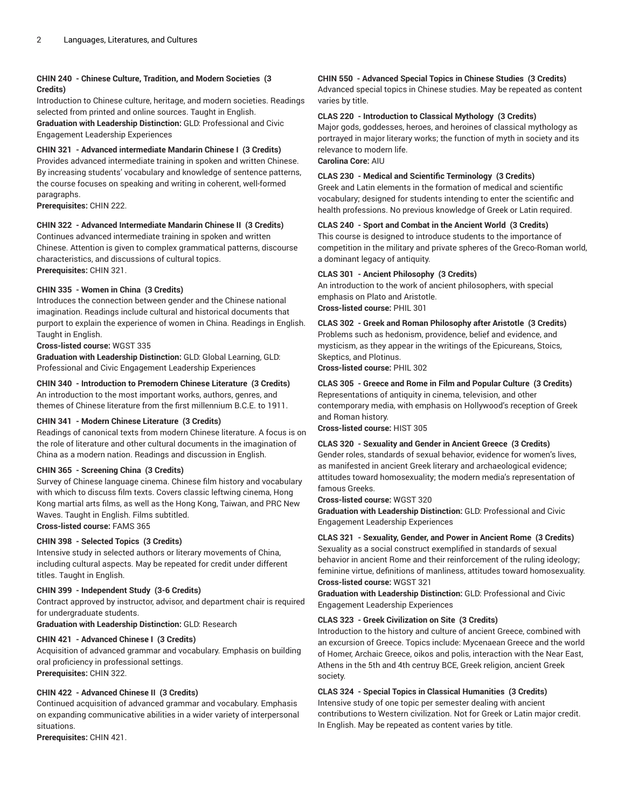## **CHIN 240 - Chinese Culture, Tradition, and Modern Societies (3 Credits)**

Introduction to Chinese culture, heritage, and modern societies. Readings selected from printed and online sources. Taught in English.

**Graduation with Leadership Distinction:** GLD: Professional and Civic Engagement Leadership Experiences

## **CHIN 321 - Advanced intermediate Mandarin Chinese I (3 Credits)**

Provides advanced intermediate training in spoken and written Chinese. By increasing students' vocabulary and knowledge of sentence patterns, the course focuses on speaking and writing in coherent, well-formed paragraphs.

**Prerequisites:** CHIN 222.

## **CHIN 322 - Advanced Intermediate Mandarin Chinese II (3 Credits)**

Continues advanced intermediate training in spoken and written Chinese. Attention is given to complex grammatical patterns, discourse characteristics, and discussions of cultural topics. **Prerequisites:** CHIN 321.

## **CHIN 335 - Women in China (3 Credits)**

Introduces the connection between gender and the Chinese national imagination. Readings include cultural and historical documents that purport to explain the experience of women in China. Readings in English. Taught in English.

## **Cross-listed course:** WGST 335

**Graduation with Leadership Distinction:** GLD: Global Learning, GLD: Professional and Civic Engagement Leadership Experiences

**CHIN 340 - Introduction to Premodern Chinese Literature (3 Credits)**

An introduction to the most important works, authors, genres, and themes of Chinese literature from the first millennium B.C.E. to 1911.

## **CHIN 341 - Modern Chinese Literature (3 Credits)**

Readings of canonical texts from modern Chinese literature. A focus is on the role of literature and other cultural documents in the imagination of China as a modern nation. Readings and discussion in English.

## **CHIN 365 - Screening China (3 Credits)**

Survey of Chinese language cinema. Chinese film history and vocabulary with which to discuss film texts. Covers classic leftwing cinema, Hong Kong martial arts films, as well as the Hong Kong, Taiwan, and PRC New Waves. Taught in English. Films subtitled.

**Cross-listed course:** FAMS 365

## **CHIN 398 - Selected Topics (3 Credits)**

Intensive study in selected authors or literary movements of China, including cultural aspects. May be repeated for credit under different titles. Taught in English.

#### **CHIN 399 - Independent Study (3-6 Credits)**

Contract approved by instructor, advisor, and department chair is required for undergraduate students.

**Graduation with Leadership Distinction:** GLD: Research

## **CHIN 421 - Advanced Chinese I (3 Credits)**

Acquisition of advanced grammar and vocabulary. Emphasis on building oral proficiency in professional settings. **Prerequisites:** CHIN 322.

## **CHIN 422 - Advanced Chinese II (3 Credits)**

Continued acquisition of advanced grammar and vocabulary. Emphasis on expanding communicative abilities in a wider variety of interpersonal situations.

**Prerequisites:** CHIN 421.

## **CHIN 550 - Advanced Special Topics in Chinese Studies (3 Credits)**

Advanced special topics in Chinese studies. May be repeated as content varies by title.

## **CLAS 220 - Introduction to Classical Mythology (3 Credits)**

Major gods, goddesses, heroes, and heroines of classical mythology as portrayed in major literary works; the function of myth in society and its relevance to modern life. **Carolina Core:** AIU

## **CLAS 230 - Medical and Scientific Terminology (3 Credits)**

Greek and Latin elements in the formation of medical and scientific vocabulary; designed for students intending to enter the scientific and health professions. No previous knowledge of Greek or Latin required.

## **CLAS 240 - Sport and Combat in the Ancient World (3 Credits)**

This course is designed to introduce students to the importance of competition in the military and private spheres of the Greco-Roman world, a dominant legacy of antiquity.

## **CLAS 301 - Ancient Philosophy (3 Credits)**

An introduction to the work of ancient philosophers, with special emphasis on Plato and Aristotle. **Cross-listed course:** PHIL 301

## **CLAS 302 - Greek and Roman Philosophy after Aristotle (3 Credits)**

Problems such as hedonism, providence, belief and evidence, and mysticism, as they appear in the writings of the Epicureans, Stoics, Skeptics, and Plotinus.

**Cross-listed course:** PHIL 302

## **CLAS 305 - Greece and Rome in Film and Popular Culture (3 Credits)**

Representations of antiquity in cinema, television, and other contemporary media, with emphasis on Hollywood's reception of Greek and Roman history.

**Cross-listed course:** HIST 305

#### **CLAS 320 - Sexuality and Gender in Ancient Greece (3 Credits)**

Gender roles, standards of sexual behavior, evidence for women's lives, as manifested in ancient Greek literary and archaeological evidence; attitudes toward homosexuality; the modern media's representation of famous Greeks.

## **Cross-listed course:** WGST 320

**Graduation with Leadership Distinction:** GLD: Professional and Civic Engagement Leadership Experiences

## **CLAS 321 - Sexuality, Gender, and Power in Ancient Rome (3 Credits)**

Sexuality as a social construct exemplified in standards of sexual behavior in ancient Rome and their reinforcement of the ruling ideology; feminine virtue, definitions of manliness, attitudes toward homosexuality. **Cross-listed course:** WGST 321

**Graduation with Leadership Distinction:** GLD: Professional and Civic Engagement Leadership Experiences

#### **CLAS 323 - Greek Civilization on Site (3 Credits)**

Introduction to the history and culture of ancient Greece, combined with an excursion of Greece. Topics include: Mycenaean Greece and the world of Homer, Archaic Greece, oikos and polis, interaction with the Near East, Athens in the 5th and 4th centruy BCE, Greek religion, ancient Greek society.

## **CLAS 324 - Special Topics in Classical Humanities (3 Credits)**

Intensive study of one topic per semester dealing with ancient contributions to Western civilization. Not for Greek or Latin major credit. In English. May be repeated as content varies by title.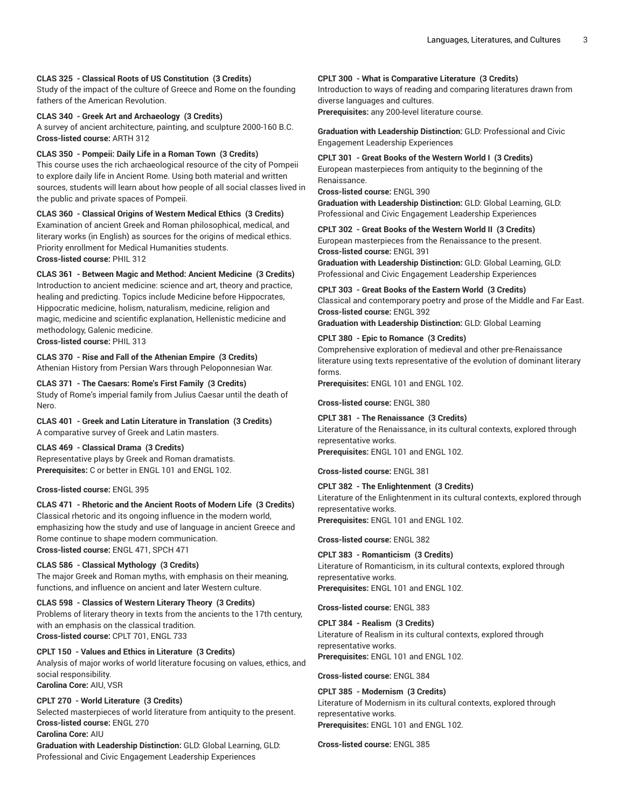#### **CLAS 325 - Classical Roots of US Constitution (3 Credits)**

Study of the impact of the culture of Greece and Rome on the founding fathers of the American Revolution.

**CLAS 340 - Greek Art and Archaeology (3 Credits)**

A survey of ancient architecture, painting, and sculpture 2000-160 B.C. **Cross-listed course:** ARTH 312

**CLAS 350 - Pompeii: Daily Life in a Roman Town (3 Credits)**

This course uses the rich archaeological resource of the city of Pompeii to explore daily life in Ancient Rome. Using both material and written sources, students will learn about how people of all social classes lived in the public and private spaces of Pompeii.

**CLAS 360 - Classical Origins of Western Medical Ethics (3 Credits)** Examination of ancient Greek and Roman philosophical, medical, and literary works (in English) as sources for the origins of medical ethics. Priority enrollment for Medical Humanities students. **Cross-listed course:** PHIL 312

**CLAS 361 - Between Magic and Method: Ancient Medicine (3 Credits)**

Introduction to ancient medicine: science and art, theory and practice, healing and predicting. Topics include Medicine before Hippocrates, Hippocratic medicine, holism, naturalism, medicine, religion and magic, medicine and scientific explanation, Hellenistic medicine and methodology, Galenic medicine.

**Cross-listed course:** PHIL 313

**CLAS 370 - Rise and Fall of the Athenian Empire (3 Credits)** Athenian History from Persian Wars through Peloponnesian War.

**CLAS 371 - The Caesars: Rome's First Family (3 Credits)** Study of Rome's imperial family from Julius Caesar until the death of Nero.

**CLAS 401 - Greek and Latin Literature in Translation (3 Credits)** A comparative survey of Greek and Latin masters.

## **CLAS 469 - Classical Drama (3 Credits)**

Representative plays by Greek and Roman dramatists. **Prerequisites:** C or better in ENGL 101 and ENGL 102.

**Cross-listed course:** ENGL 395

**CLAS 471 - Rhetoric and the Ancient Roots of Modern Life (3 Credits)** Classical rhetoric and its ongoing influence in the modern world, emphasizing how the study and use of language in ancient Greece and Rome continue to shape modern communication. **Cross-listed course:** ENGL 471, SPCH 471

#### **CLAS 586 - Classical Mythology (3 Credits)**

The major Greek and Roman myths, with emphasis on their meaning, functions, and influence on ancient and later Western culture.

**CLAS 598 - Classics of Western Literary Theory (3 Credits)** Problems of literary theory in texts from the ancients to the 17th century, with an emphasis on the classical tradition. **Cross-listed course:** CPLT 701, ENGL 733

**CPLT 150 - Values and Ethics in Literature (3 Credits)** Analysis of major works of world literature focusing on values, ethics, and social responsibility. **Carolina Core:** AIU, VSR

## **CPLT 270 - World Literature (3 Credits)**

Selected masterpieces of world literature from antiquity to the present. **Cross-listed course:** ENGL 270

**Carolina Core:** AIU

**Graduation with Leadership Distinction:** GLD: Global Learning, GLD: Professional and Civic Engagement Leadership Experiences

## **CPLT 300 - What is Comparative Literature (3 Credits)**

Introduction to ways of reading and comparing literatures drawn from diverse languages and cultures. **Prerequisites:** any 200-level literature course.

**Graduation with Leadership Distinction:** GLD: Professional and Civic Engagement Leadership Experiences

**CPLT 301 - Great Books of the Western World I (3 Credits)** European masterpieces from antiquity to the beginning of the Renaissance.

**Cross-listed course:** ENGL 390

**Graduation with Leadership Distinction:** GLD: Global Learning, GLD: Professional and Civic Engagement Leadership Experiences

**CPLT 302 - Great Books of the Western World II (3 Credits)** European masterpieces from the Renaissance to the present.

**Cross-listed course:** ENGL 391

**Graduation with Leadership Distinction:** GLD: Global Learning, GLD: Professional and Civic Engagement Leadership Experiences

**CPLT 303 - Great Books of the Eastern World (3 Credits)**

Classical and contemporary poetry and prose of the Middle and Far East. **Cross-listed course:** ENGL 392

**Graduation with Leadership Distinction:** GLD: Global Learning

#### **CPLT 380 - Epic to Romance (3 Credits)**

Comprehensive exploration of medieval and other pre-Renaissance literature using texts representative of the evolution of dominant literary forms.

**Prerequisites:** ENGL 101 and ENGL 102.

**Cross-listed course:** ENGL 380

**CPLT 381 - The Renaissance (3 Credits)**

Literature of the Renaissance, in its cultural contexts, explored through representative works.

**Prerequisites:** ENGL 101 and ENGL 102.

**Cross-listed course:** ENGL 381

**CPLT 382 - The Enlightenment (3 Credits)** Literature of the Enlightenment in its cultural contexts, explored through representative works. **Prerequisites:** ENGL 101 and ENGL 102.

**Cross-listed course:** ENGL 382

**CPLT 383 - Romanticism (3 Credits)** Literature of Romanticism, in its cultural contexts, explored through representative works. **Prerequisites:** ENGL 101 and ENGL 102.

**Cross-listed course:** ENGL 383

**CPLT 384 - Realism (3 Credits)** Literature of Realism in its cultural contexts, explored through representative works. **Prerequisites:** ENGL 101 and ENGL 102.

**Cross-listed course:** ENGL 384

**CPLT 385 - Modernism (3 Credits)** Literature of Modernism in its cultural contexts, explored through representative works. **Prerequisites:** ENGL 101 and ENGL 102.

**Cross-listed course:** ENGL 385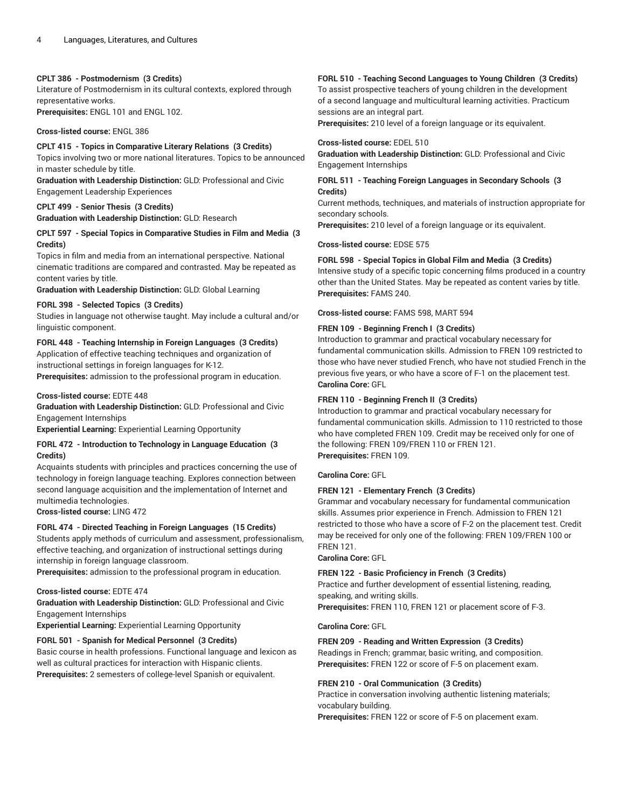#### **CPLT 386 - Postmodernism (3 Credits)**

Literature of Postmodernism in its cultural contexts, explored through representative works. **Prerequisites:** ENGL 101 and ENGL 102.

## **Cross-listed course:** ENGL 386

**CPLT 415 - Topics in Comparative Literary Relations (3 Credits)** Topics involving two or more national literatures. Topics to be announced in master schedule by title.

**Graduation with Leadership Distinction:** GLD: Professional and Civic Engagement Leadership Experiences

#### **CPLT 499 - Senior Thesis (3 Credits)**

**Graduation with Leadership Distinction:** GLD: Research

#### **CPLT 597 - Special Topics in Comparative Studies in Film and Media (3 Credits)**

Topics in film and media from an international perspective. National cinematic traditions are compared and contrasted. May be repeated as content varies by title.

**Graduation with Leadership Distinction:** GLD: Global Learning

## **FORL 398 - Selected Topics (3 Credits)**

Studies in language not otherwise taught. May include a cultural and/or linguistic component.

## **FORL 448 - Teaching Internship in Foreign Languages (3 Credits)**

Application of effective teaching techniques and organization of instructional settings in foreign languages for K-12.

**Prerequisites:** admission to the professional program in education.

#### **Cross-listed course:** EDTE 448

**Graduation with Leadership Distinction:** GLD: Professional and Civic Engagement Internships

**Experiential Learning:** Experiential Learning Opportunity

## **FORL 472 - Introduction to Technology in Language Education (3 Credits)**

Acquaints students with principles and practices concerning the use of technology in foreign language teaching. Explores connection between second language acquisition and the implementation of Internet and multimedia technologies.

**Cross-listed course:** LING 472

#### **FORL 474 - Directed Teaching in Foreign Languages (15 Credits)**

Students apply methods of curriculum and assessment, professionalism, effective teaching, and organization of instructional settings during internship in foreign language classroom.

**Prerequisites:** admission to the professional program in education.

#### **Cross-listed course:** EDTE 474

**Graduation with Leadership Distinction:** GLD: Professional and Civic Engagement Internships

**Experiential Learning:** Experiential Learning Opportunity

#### **FORL 501 - Spanish for Medical Personnel (3 Credits)**

Basic course in health professions. Functional language and lexicon as well as cultural practices for interaction with Hispanic clients. **Prerequisites:** 2 semesters of college-level Spanish or equivalent.

#### **FORL 510 - Teaching Second Languages to Young Children (3 Credits)**

To assist prospective teachers of young children in the development of a second language and multicultural learning activities. Practicum sessions are an integral part.

**Prerequisites:** 210 level of a foreign language or its equivalent.

#### **Cross-listed course:** EDEL 510

**Graduation with Leadership Distinction:** GLD: Professional and Civic Engagement Internships

## **FORL 511 - Teaching Foreign Languages in Secondary Schools (3 Credits)**

Current methods, techniques, and materials of instruction appropriate for secondary schools.

**Prerequisites:** 210 level of a foreign language or its equivalent.

**Cross-listed course:** EDSE 575

#### **FORL 598 - Special Topics in Global Film and Media (3 Credits)**

Intensive study of a specific topic concerning films produced in a country other than the United States. May be repeated as content varies by title. **Prerequisites:** FAMS 240.

**Cross-listed course:** FAMS 598, MART 594

#### **FREN 109 - Beginning French I (3 Credits)**

Introduction to grammar and practical vocabulary necessary for fundamental communication skills. Admission to FREN 109 restricted to those who have never studied French, who have not studied French in the previous five years, or who have a score of F-1 on the placement test. **Carolina Core:** GFL

#### **FREN 110 - Beginning French II (3 Credits)**

Introduction to grammar and practical vocabulary necessary for fundamental communication skills. Admission to 110 restricted to those who have completed FREN 109. Credit may be received only for one of the following: FREN 109/FREN 110 or FREN 121. **Prerequisites:** FREN 109.

#### **Carolina Core:** GFL

#### **FREN 121 - Elementary French (3 Credits)**

Grammar and vocabulary necessary for fundamental communication skills. Assumes prior experience in French. Admission to FREN 121 restricted to those who have a score of F-2 on the placement test. Credit may be received for only one of the following: FREN 109/FREN 100 or FREN 121.

#### **Carolina Core:** GFL

#### **FREN 122 - Basic Proficiency in French (3 Credits)**

Practice and further development of essential listening, reading, speaking, and writing skills.

**Prerequisites:** FREN 110, FREN 121 or placement score of F-3.

#### **Carolina Core:** GFL

#### **FREN 209 - Reading and Written Expression (3 Credits)**

Readings in French; grammar, basic writing, and composition. **Prerequisites:** FREN 122 or score of F-5 on placement exam.

#### **FREN 210 - Oral Communication (3 Credits)**

Practice in conversation involving authentic listening materials; vocabulary building.

**Prerequisites:** FREN 122 or score of F-5 on placement exam.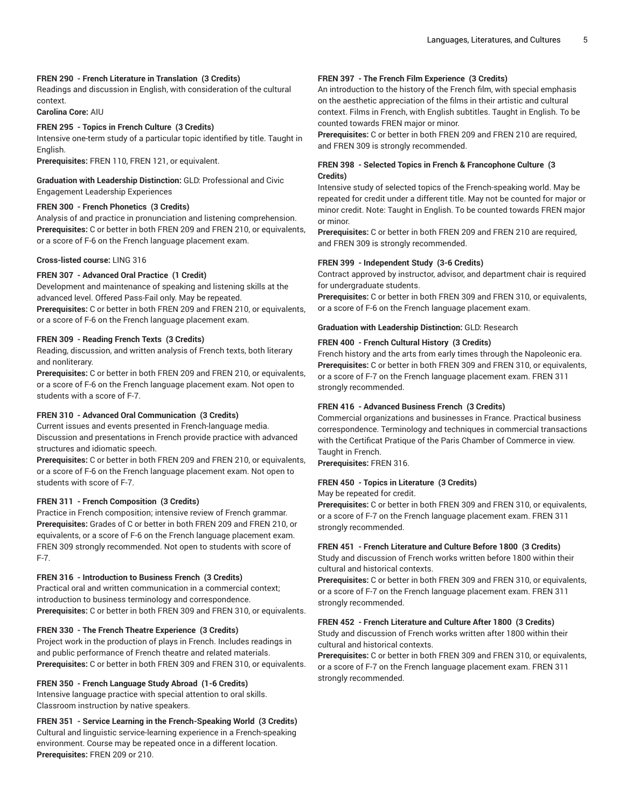## **FREN 290 - French Literature in Translation (3 Credits)**

Readings and discussion in English, with consideration of the cultural context.

**Carolina Core:** AIU

#### **FREN 295 - Topics in French Culture (3 Credits)**

Intensive one-term study of a particular topic identified by title. Taught in English.

**Prerequisites:** FREN 110, FREN 121, or equivalent.

#### **Graduation with Leadership Distinction:** GLD: Professional and Civic Engagement Leadership Experiences

#### **FREN 300 - French Phonetics (3 Credits)**

Analysis of and practice in pronunciation and listening comprehension. **Prerequisites:** C or better in both FREN 209 and FREN 210, or equivalents, or a score of F-6 on the French language placement exam.

#### **Cross-listed course:** LING 316

## **FREN 307 - Advanced Oral Practice (1 Credit)**

Development and maintenance of speaking and listening skills at the advanced level. Offered Pass-Fail only. May be repeated.

**Prerequisites:** C or better in both FREN 209 and FREN 210, or equivalents, or a score of F-6 on the French language placement exam.

## **FREN 309 - Reading French Texts (3 Credits)**

Reading, discussion, and written analysis of French texts, both literary and nonliterary.

**Prerequisites:** C or better in both FREN 209 and FREN 210, or equivalents, or a score of F-6 on the French language placement exam. Not open to students with a score of F-7.

#### **FREN 310 - Advanced Oral Communication (3 Credits)**

Current issues and events presented in French-language media. Discussion and presentations in French provide practice with advanced structures and idiomatic speech.

**Prerequisites:** C or better in both FREN 209 and FREN 210, or equivalents, or a score of F-6 on the French language placement exam. Not open to students with score of F-7.

#### **FREN 311 - French Composition (3 Credits)**

Practice in French composition; intensive review of French grammar. **Prerequisites:** Grades of C or better in both FREN 209 and FREN 210, or equivalents, or a score of F-6 on the French language placement exam. FREN 309 strongly recommended. Not open to students with score of F-7.

#### **FREN 316 - Introduction to Business French (3 Credits)**

Practical oral and written communication in a commercial context; introduction to business terminology and correspondence. **Prerequisites:** C or better in both FREN 309 and FREN 310, or equivalents.

#### **FREN 330 - The French Theatre Experience (3 Credits)**

Project work in the production of plays in French. Includes readings in and public performance of French theatre and related materials. **Prerequisites:** C or better in both FREN 309 and FREN 310, or equivalents.

#### **FREN 350 - French Language Study Abroad (1-6 Credits)**

Intensive language practice with special attention to oral skills. Classroom instruction by native speakers.

## **FREN 351 - Service Learning in the French-Speaking World (3 Credits)**

Cultural and linguistic service-learning experience in a French-speaking environment. Course may be repeated once in a different location. **Prerequisites:** FREN 209 or 210.

## **FREN 397 - The French Film Experience (3 Credits)**

An introduction to the history of the French film, with special emphasis on the aesthetic appreciation of the films in their artistic and cultural context. Films in French, with English subtitles. Taught in English. To be counted towards FREN major or minor.

**Prerequisites:** C or better in both FREN 209 and FREN 210 are required, and FREN 309 is strongly recommended.

## **FREN 398 - Selected Topics in French & Francophone Culture (3 Credits)**

Intensive study of selected topics of the French-speaking world. May be repeated for credit under a different title. May not be counted for major or minor credit. Note: Taught in English. To be counted towards FREN major or minor.

**Prerequisites:** C or better in both FREN 209 and FREN 210 are required, and FREN 309 is strongly recommended.

## **FREN 399 - Independent Study (3-6 Credits)**

Contract approved by instructor, advisor, and department chair is required for undergraduate students.

**Prerequisites:** C or better in both FREN 309 and FREN 310, or equivalents, or a score of F-6 on the French language placement exam.

#### **Graduation with Leadership Distinction:** GLD: Research

## **FREN 400 - French Cultural History (3 Credits)**

French history and the arts from early times through the Napoleonic era. **Prerequisites:** C or better in both FREN 309 and FREN 310, or equivalents, or a score of F-7 on the French language placement exam. FREN 311 strongly recommended.

#### **FREN 416 - Advanced Business French (3 Credits)**

Commercial organizations and businesses in France. Practical business correspondence. Terminology and techniques in commercial transactions with the Certificat Pratique of the Paris Chamber of Commerce in view. Taught in French.

**Prerequisites:** FREN 316.

#### **FREN 450 - Topics in Literature (3 Credits)**

May be repeated for credit.

**Prerequisites:** C or better in both FREN 309 and FREN 310, or equivalents, or a score of F-7 on the French language placement exam. FREN 311 strongly recommended.

#### **FREN 451 - French Literature and Culture Before 1800 (3 Credits)**

Study and discussion of French works written before 1800 within their cultural and historical contexts.

**Prerequisites:** C or better in both FREN 309 and FREN 310, or equivalents, or a score of F-7 on the French language placement exam. FREN 311 strongly recommended.

## **FREN 452 - French Literature and Culture After 1800 (3 Credits)**

Study and discussion of French works written after 1800 within their cultural and historical contexts.

**Prerequisites:** C or better in both FREN 309 and FREN 310, or equivalents, or a score of F-7 on the French language placement exam. FREN 311 strongly recommended.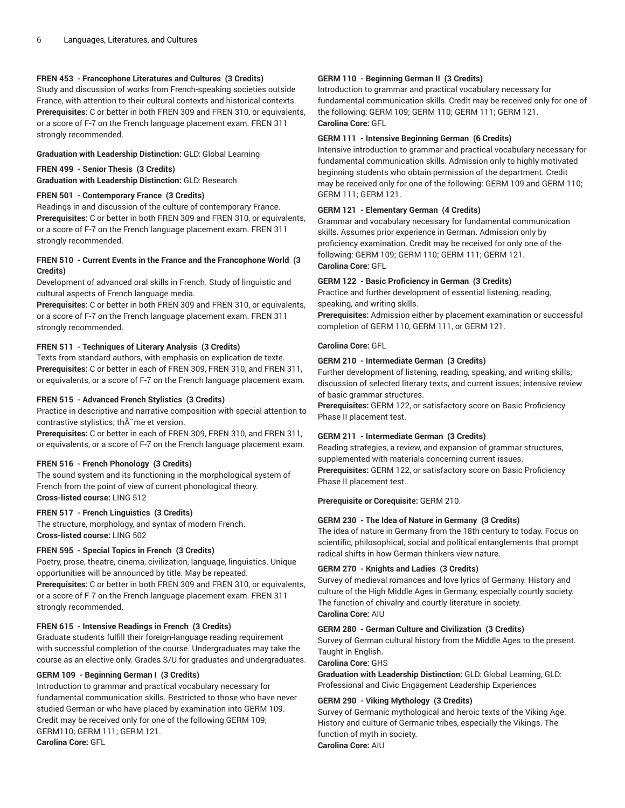## **FREN 453 - Francophone Literatures and Cultures (3 Credits)**

Study and discussion of works from French-speaking societies outside France, with attention to their cultural contexts and historical contexts. **Prerequisites:** C or better in both FREN 309 and FREN 310, or equivalents, or a score of F-7 on the French language placement exam. FREN 311 strongly recommended.

## **Graduation with Leadership Distinction:** GLD: Global Learning

#### **FREN 499 - Senior Thesis (3 Credits)**

**Graduation with Leadership Distinction:** GLD: Research

## **FREN 501 - Contemporary France (3 Credits)**

Readings in and discussion of the culture of contemporary France. **Prerequisites:** C or better in both FREN 309 and FREN 310, or equivalents, or a score of F-7 on the French language placement exam. FREN 311 strongly recommended.

## **FREN 510 - Current Events in the France and the Francophone World (3 Credits)**

Development of advanced oral skills in French. Study of linguistic and cultural aspects of French language media.

**Prerequisites:** C or better in both FREN 309 and FREN 310, or equivalents, or a score of F-7 on the French language placement exam. FREN 311 strongly recommended.

## **FREN 511 - Techniques of Literary Analysis (3 Credits)**

Texts from standard authors, with emphasis on explication de texte. **Prerequisites:** C or better in each of FREN 309, FREN 310, and FREN 311, or equivalents, or a score of F-7 on the French language placement exam.

## **FREN 515 - Advanced French Stylistics (3 Credits)**

Practice in descriptive and narrative composition with special attention to contrastive stylistics; th me et version.

**Prerequisites:** C or better in each of FREN 309, FREN 310, and FREN 311, or equivalents, or a score of F-7 on the French language placement exam.

#### **FREN 516 - French Phonology (3 Credits)**

The sound system and its functioning in the morphological system of French from the point of view of current phonological theory. **Cross-listed course:** LING 512

#### **FREN 517 - French Linguistics (3 Credits)**

The structure, morphology, and syntax of modern French. **Cross-listed course:** LING 502

## **FREN 595 - Special Topics in French (3 Credits)**

Poetry, prose, theatre, cinema, civilization, language, linguistics. Unique opportunities will be announced by title. May be repeated. **Prerequisites:** C or better in both FREN 309 and FREN 310, or equivalents, or a score of F-7 on the French language placement exam. FREN 311 strongly recommended.

## **FREN 615 - Intensive Readings in French (3 Credits)**

Graduate students fulfill their foreign-language reading requirement with successful completion of the course. Undergraduates may take the course as an elective only. Grades S/U for graduates and undergraduates.

## **GERM 109 - Beginning German I (3 Credits)**

Introduction to grammar and practical vocabulary necessary for fundamental communication skills. Restricted to those who have never studied German or who have placed by examination into GERM 109. Credit may be received only for one of the following GERM 109; GERM110; GERM 111; GERM 121. **Carolina Core:** GFL

## **GERM 110 - Beginning German II (3 Credits)**

Introduction to grammar and practical vocabulary necessary for fundamental communication skills. Credit may be received only for one of the following: GERM 109; GERM 110; GERM 111; GERM 121. **Carolina Core:** GFL

## **GERM 111 - Intensive Beginning German (6 Credits)**

Intensive introduction to grammar and practical vocabulary necessary for fundamental communication skills. Admission only to highly motivated beginning students who obtain permission of the department. Credit may be received only for one of the following: GERM 109 and GERM 110; GERM 111; GERM 121.

## **GERM 121 - Elementary German (4 Credits)**

Grammar and vocabulary necessary for fundamental communication skills. Assumes prior experience in German. Admission only by proficiency examination. Credit may be received for only one of the following: GERM 109; GERM 110; GERM 111; GERM 121. **Carolina Core:** GFL

## **GERM 122 - Basic Proficiency in German (3 Credits)**

Practice and further development of essential listening, reading, speaking, and writing skills.

**Prerequisites:** Admission either by placement examination or successful completion of GERM 110, GERM 111, or GERM 121.

## **Carolina Core:** GFL

## **GERM 210 - Intermediate German (3 Credits)**

Further development of listening, reading, speaking, and writing skills; discussion of selected literary texts, and current issues; intensive review of basic grammar structures.

**Prerequisites:** GERM 122, or satisfactory score on Basic Proficiency Phase II placement test.

## **GERM 211 - Intermediate German (3 Credits)**

Reading strategies, a review, and expansion of grammar structures, supplemented with materials concerning current issues. **Prerequisites:** GERM 122, or satisfactory score on Basic Proficiency Phase II placement test.

**Prerequisite or Corequisite:** GERM 210.

## **GERM 230 - The Idea of Nature in Germany (3 Credits)**

The idea of nature in Germany from the 18th century to today. Focus on scientific, philosophical, social and political entanglements that prompt radical shifts in how German thinkers view nature.

#### **GERM 270 - Knights and Ladies (3 Credits)**

Survey of medieval romances and love lyrics of Germany. History and culture of the High Middle Ages in Germany, especially courtly society. The function of chivalry and courtly literature in society. **Carolina Core:** AIU

#### **GERM 280 - German Culture and Civilization (3 Credits)**

Survey of German cultural history from the Middle Ages to the present. Taught in English.

#### **Carolina Core:** GHS

**Graduation with Leadership Distinction:** GLD: Global Learning, GLD: Professional and Civic Engagement Leadership Experiences

## **GERM 290 - Viking Mythology (3 Credits)**

Survey of Germanic mythological and heroic texts of the Viking Age. History and culture of Germanic tribes, especially the Vikings. The function of myth in society. **Carolina Core:** AIU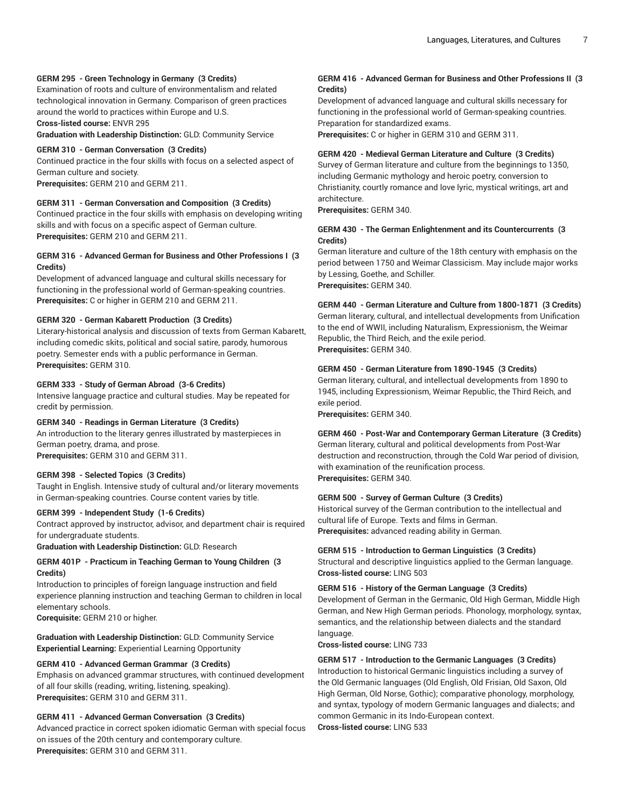## **GERM 295 - Green Technology in Germany (3 Credits)**

Examination of roots and culture of environmentalism and related technological innovation in Germany. Comparison of green practices around the world to practices within Europe and U.S.

## **Cross-listed course:** ENVR 295

**Graduation with Leadership Distinction:** GLD: Community Service

#### **GERM 310 - German Conversation (3 Credits)**

Continued practice in the four skills with focus on a selected aspect of German culture and society.

**Prerequisites:** GERM 210 and GERM 211.

## **GERM 311 - German Conversation and Composition (3 Credits)**

Continued practice in the four skills with emphasis on developing writing skills and with focus on a specific aspect of German culture. **Prerequisites:** GERM 210 and GERM 211.

## **GERM 316 - Advanced German for Business and Other Professions I (3 Credits)**

Development of advanced language and cultural skills necessary for functioning in the professional world of German-speaking countries. **Prerequisites:** C or higher in GERM 210 and GERM 211.

## **GERM 320 - German Kabarett Production (3 Credits)**

Literary-historical analysis and discussion of texts from German Kabarett, including comedic skits, political and social satire, parody, humorous poetry. Semester ends with a public performance in German. **Prerequisites:** GERM 310.

#### **GERM 333 - Study of German Abroad (3-6 Credits)**

Intensive language practice and cultural studies. May be repeated for credit by permission.

#### **GERM 340 - Readings in German Literature (3 Credits)**

An introduction to the literary genres illustrated by masterpieces in German poetry, drama, and prose. **Prerequisites:** GERM 310 and GERM 311.

#### **GERM 398 - Selected Topics (3 Credits)**

Taught in English. Intensive study of cultural and/or literary movements in German-speaking countries. Course content varies by title.

#### **GERM 399 - Independent Study (1-6 Credits)**

Contract approved by instructor, advisor, and department chair is required for undergraduate students.

**Graduation with Leadership Distinction:** GLD: Research

## **GERM 401P - Practicum in Teaching German to Young Children (3 Credits)**

Introduction to principles of foreign language instruction and field experience planning instruction and teaching German to children in local elementary schools.

**Corequisite:** GERM 210 or higher.

## **Graduation with Leadership Distinction:** GLD: Community Service **Experiential Learning:** Experiential Learning Opportunity

#### **GERM 410 - Advanced German Grammar (3 Credits)**

Emphasis on advanced grammar structures, with continued development of all four skills (reading, writing, listening, speaking). **Prerequisites:** GERM 310 and GERM 311.

#### **GERM 411 - Advanced German Conversation (3 Credits)**

Advanced practice in correct spoken idiomatic German with special focus on issues of the 20th century and contemporary culture. **Prerequisites:** GERM 310 and GERM 311.

## **GERM 416 - Advanced German for Business and Other Professions II (3 Credits)**

Development of advanced language and cultural skills necessary for functioning in the professional world of German-speaking countries. Preparation for standardized exams.

**Prerequisites:** C or higher in GERM 310 and GERM 311.

## **GERM 420 - Medieval German Literature and Culture (3 Credits)**

Survey of German literature and culture from the beginnings to 1350, including Germanic mythology and heroic poetry, conversion to Christianity, courtly romance and love lyric, mystical writings, art and architecture.

**Prerequisites:** GERM 340.

## **GERM 430 - The German Enlightenment and its Countercurrents (3 Credits)**

German literature and culture of the 18th century with emphasis on the period between 1750 and Weimar Classicism. May include major works by Lessing, Goethe, and Schiller. **Prerequisites:** GERM 340.

## **GERM 440 - German Literature and Culture from 1800-1871 (3 Credits)**

German literary, cultural, and intellectual developments from Unification to the end of WWII, including Naturalism, Expressionism, the Weimar Republic, the Third Reich, and the exile period. **Prerequisites:** GERM 340.

## **GERM 450 - German Literature from 1890-1945 (3 Credits)**

German literary, cultural, and intellectual developments from 1890 to 1945, including Expressionism, Weimar Republic, the Third Reich, and exile period.

**Prerequisites:** GERM 340.

## **GERM 460 - Post-War and Contemporary German Literature (3 Credits)** German literary, cultural and political developments from Post-War

destruction and reconstruction, through the Cold War period of division, with examination of the reunification process. **Prerequisites:** GERM 340.

#### **GERM 500 - Survey of German Culture (3 Credits)**

Historical survey of the German contribution to the intellectual and cultural life of Europe. Texts and films in German. **Prerequisites:** advanced reading ability in German.

#### **GERM 515 - Introduction to German Linguistics (3 Credits)**

Structural and descriptive linguistics applied to the German language. **Cross-listed course:** LING 503

#### **GERM 516 - History of the German Language (3 Credits)**

Development of German in the Germanic, Old High German, Middle High German, and New High German periods. Phonology, morphology, syntax, semantics, and the relationship between dialects and the standard language.

**Cross-listed course:** LING 733

#### **GERM 517 - Introduction to the Germanic Languages (3 Credits)**

Introduction to historical Germanic linguistics including a survey of the Old Germanic languages (Old English, Old Frisian, Old Saxon, Old High German, Old Norse, Gothic); comparative phonology, morphology, and syntax, typology of modern Germanic languages and dialects; and common Germanic in its Indo-European context. **Cross-listed course:** LING 533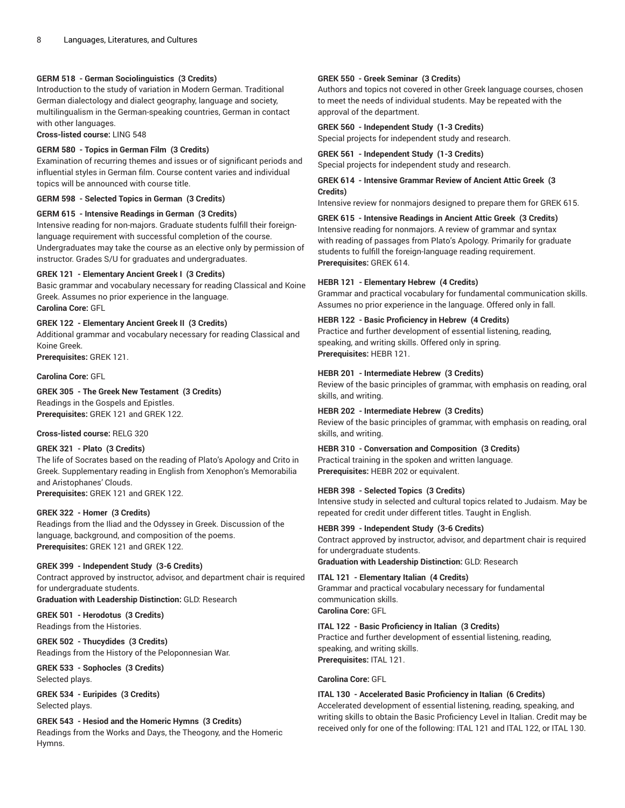## **GERM 518 - German Sociolinguistics (3 Credits)**

Introduction to the study of variation in Modern German. Traditional German dialectology and dialect geography, language and society, multilingualism in the German-speaking countries, German in contact with other languages.

**Cross-listed course:** LING 548

#### **GERM 580 - Topics in German Film (3 Credits)**

Examination of recurring themes and issues or of significant periods and influential styles in German film. Course content varies and individual topics will be announced with course title.

**GERM 598 - Selected Topics in German (3 Credits)**

**GERM 615 - Intensive Readings in German (3 Credits)** Intensive reading for non-majors. Graduate students fulfill their foreignlanguage requirement with successful completion of the course. Undergraduates may take the course as an elective only by permission of instructor. Grades S/U for graduates and undergraduates.

## **GREK 121 - Elementary Ancient Greek I (3 Credits)**

Basic grammar and vocabulary necessary for reading Classical and Koine Greek. Assumes no prior experience in the language. **Carolina Core:** GFL

**GREK 122 - Elementary Ancient Greek II (3 Credits)** Additional grammar and vocabulary necessary for reading Classical and Koine Greek.

**Prerequisites:** GREK 121.

## **Carolina Core:** GFL

**GREK 305 - The Greek New Testament (3 Credits)** Readings in the Gospels and Epistles.

**Prerequisites:** GREK 121 and GREK 122.

#### **Cross-listed course:** RELG 320

#### **GREK 321 - Plato (3 Credits)**

The life of Socrates based on the reading of Plato's Apology and Crito in Greek. Supplementary reading in English from Xenophon's Memorabilia and Aristophanes' Clouds.

**Prerequisites:** GREK 121 and GREK 122.

#### **GREK 322 - Homer (3 Credits)**

Readings from the Iliad and the Odyssey in Greek. Discussion of the language, background, and composition of the poems. **Prerequisites:** GREK 121 and GREK 122.

## **GREK 399 - Independent Study (3-6 Credits)**

Contract approved by instructor, advisor, and department chair is required for undergraduate students.

**Graduation with Leadership Distinction:** GLD: Research

**GREK 501 - Herodotus (3 Credits)** Readings from the Histories.

**GREK 502 - Thucydides (3 Credits)** Readings from the History of the Peloponnesian War.

**GREK 533 - Sophocles (3 Credits)** Selected plays.

**GREK 534 - Euripides (3 Credits)** Selected plays.

**GREK 543 - Hesiod and the Homeric Hymns (3 Credits)** Readings from the Works and Days, the Theogony, and the Homeric Hymns.

#### **GREK 550 - Greek Seminar (3 Credits)**

Authors and topics not covered in other Greek language courses, chosen to meet the needs of individual students. May be repeated with the approval of the department.

## **GREK 560 - Independent Study (1-3 Credits)**

Special projects for independent study and research.

**GREK 561 - Independent Study (1-3 Credits)** Special projects for independent study and research.

**GREK 614 - Intensive Grammar Review of Ancient Attic Greek (3 Credits)**

Intensive review for nonmajors designed to prepare them for GREK 615.

#### **GREK 615 - Intensive Readings in Ancient Attic Greek (3 Credits)**

Intensive reading for nonmajors. A review of grammar and syntax with reading of passages from Plato's Apology. Primarily for graduate students to fulfill the foreign-language reading requirement. **Prerequisites:** GREK 614.

## **HEBR 121 - Elementary Hebrew (4 Credits)**

Grammar and practical vocabulary for fundamental communication skills. Assumes no prior experience in the language. Offered only in fall.

## **HEBR 122 - Basic Proficiency in Hebrew (4 Credits)**

Practice and further development of essential listening, reading, speaking, and writing skills. Offered only in spring. **Prerequisites:** HEBR 121.

## **HEBR 201 - Intermediate Hebrew (3 Credits)**

Review of the basic principles of grammar, with emphasis on reading, oral skills, and writing.

#### **HEBR 202 - Intermediate Hebrew (3 Credits)**

Review of the basic principles of grammar, with emphasis on reading, oral skills, and writing.

#### **HEBR 310 - Conversation and Composition (3 Credits)**

Practical training in the spoken and written language. **Prerequisites:** HEBR 202 or equivalent.

## **HEBR 398 - Selected Topics (3 Credits)**

Intensive study in selected and cultural topics related to Judaism. May be repeated for credit under different titles. Taught in English.

## **HEBR 399 - Independent Study (3-6 Credits)**

Contract approved by instructor, advisor, and department chair is required for undergraduate students.

**Graduation with Leadership Distinction:** GLD: Research

## **ITAL 121 - Elementary Italian (4 Credits)**

Grammar and practical vocabulary necessary for fundamental communication skills. **Carolina Core:** GFL

## **ITAL 122 - Basic Proficiency in Italian (3 Credits)**

Practice and further development of essential listening, reading, speaking, and writing skills. **Prerequisites:** ITAL 121.

#### **Carolina Core:** GFL

#### **ITAL 130 - Accelerated Basic Proficiency in Italian (6 Credits)**

Accelerated development of essential listening, reading, speaking, and writing skills to obtain the Basic Proficiency Level in Italian. Credit may be received only for one of the following: ITAL 121 and ITAL 122, or ITAL 130.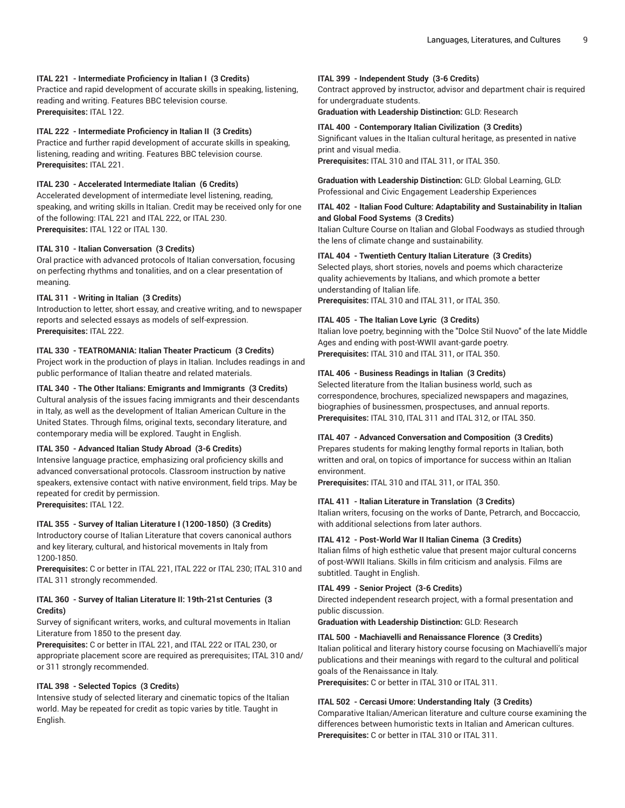## **ITAL 221 - Intermediate Proficiency in Italian I (3 Credits)**

Practice and rapid development of accurate skills in speaking, listening, reading and writing. Features BBC television course. **Prerequisites:** ITAL 122.

#### **ITAL 222 - Intermediate Proficiency in Italian II (3 Credits)**

Practice and further rapid development of accurate skills in speaking, listening, reading and writing. Features BBC television course. **Prerequisites:** ITAL 221.

## **ITAL 230 - Accelerated Intermediate Italian (6 Credits)**

Accelerated development of intermediate level listening, reading, speaking, and writing skills in Italian. Credit may be received only for one of the following: ITAL 221 and ITAL 222, or ITAL 230. **Prerequisites:** ITAL 122 or ITAL 130.

#### **ITAL 310 - Italian Conversation (3 Credits)**

Oral practice with advanced protocols of Italian conversation, focusing on perfecting rhythms and tonalities, and on a clear presentation of meaning.

## **ITAL 311 - Writing in Italian (3 Credits)**

Introduction to letter, short essay, and creative writing, and to newspaper reports and selected essays as models of self-expression. **Prerequisites:** ITAL 222.

## **ITAL 330 - TEATROMANIA: Italian Theater Practicum (3 Credits)**

Project work in the production of plays in Italian. Includes readings in and public performance of Italian theatre and related materials.

## **ITAL 340 - The Other Italians: Emigrants and Immigrants (3 Credits)**

Cultural analysis of the issues facing immigrants and their descendants in Italy, as well as the development of Italian American Culture in the United States. Through films, original texts, secondary literature, and contemporary media will be explored. Taught in English.

#### **ITAL 350 - Advanced Italian Study Abroad (3-6 Credits)**

Intensive language practice, emphasizing oral proficiency skills and advanced conversational protocols. Classroom instruction by native speakers, extensive contact with native environment, field trips. May be repeated for credit by permission.

**Prerequisites:** ITAL 122.

## **ITAL 355 - Survey of Italian Literature I (1200-1850) (3 Credits)**

Introductory course of Italian Literature that covers canonical authors and key literary, cultural, and historical movements in Italy from 1200-1850.

**Prerequisites:** C or better in ITAL 221, ITAL 222 or ITAL 230; ITAL 310 and ITAL 311 strongly recommended.

#### **ITAL 360 - Survey of Italian Literature II: 19th-21st Centuries (3 Credits)**

Survey of significant writers, works, and cultural movements in Italian Literature from 1850 to the present day.

**Prerequisites:** C or better in ITAL 221, and ITAL 222 or ITAL 230, or appropriate placement score are required as prerequisites; ITAL 310 and/ or 311 strongly recommended.

#### **ITAL 398 - Selected Topics (3 Credits)**

Intensive study of selected literary and cinematic topics of the Italian world. May be repeated for credit as topic varies by title. Taught in English.

## **ITAL 399 - Independent Study (3-6 Credits)**

Contract approved by instructor, advisor and department chair is required for undergraduate students.

**Graduation with Leadership Distinction:** GLD: Research

#### **ITAL 400 - Contemporary Italian Civilization (3 Credits)**

Significant values in the Italian cultural heritage, as presented in native print and visual media. **Prerequisites:** ITAL 310 and ITAL 311, or ITAL 350.

**Graduation with Leadership Distinction:** GLD: Global Learning, GLD: Professional and Civic Engagement Leadership Experiences

## **ITAL 402 - Italian Food Culture: Adaptability and Sustainability in Italian and Global Food Systems (3 Credits)**

Italian Culture Course on Italian and Global Foodways as studied through the lens of climate change and sustainability.

#### **ITAL 404 - Twentieth Century Italian Literature (3 Credits)**

Selected plays, short stories, novels and poems which characterize quality achievements by Italians, and which promote a better understanding of Italian life.

**Prerequisites:** ITAL 310 and ITAL 311, or ITAL 350.

#### **ITAL 405 - The Italian Love Lyric (3 Credits)**

Italian love poetry, beginning with the "Dolce Stil Nuovo" of the late Middle Ages and ending with post-WWII avant-garde poetry. **Prerequisites:** ITAL 310 and ITAL 311, or ITAL 350.

## **ITAL 406 - Business Readings in Italian (3 Credits)**

Selected literature from the Italian business world, such as correspondence, brochures, specialized newspapers and magazines, biographies of businessmen, prospectuses, and annual reports. **Prerequisites:** ITAL 310, ITAL 311 and ITAL 312, or ITAL 350.

## **ITAL 407 - Advanced Conversation and Composition (3 Credits)**

Prepares students for making lengthy formal reports in Italian, both written and oral, on topics of importance for success within an Italian environment.

**Prerequisites:** ITAL 310 and ITAL 311, or ITAL 350.

#### **ITAL 411 - Italian Literature in Translation (3 Credits)**

Italian writers, focusing on the works of Dante, Petrarch, and Boccaccio, with additional selections from later authors.

## **ITAL 412 - Post-World War II Italian Cinema (3 Credits)**

Italian films of high esthetic value that present major cultural concerns of post-WWII Italians. Skills in film criticism and analysis. Films are subtitled. Taught in English.

#### **ITAL 499 - Senior Project (3-6 Credits)**

Directed independent research project, with a formal presentation and public discussion.

**Graduation with Leadership Distinction:** GLD: Research

#### **ITAL 500 - Machiavelli and Renaissance Florence (3 Credits)**

Italian political and literary history course focusing on Machiavelli's major publications and their meanings with regard to the cultural and political goals of the Renaissance in Italy.

**Prerequisites:** C or better in ITAL 310 or ITAL 311.

#### **ITAL 502 - Cercasi Umore: Understanding Italy (3 Credits)**

Comparative Italian/American literature and culture course examining the differences between humoristic texts in Italian and American cultures. **Prerequisites:** C or better in ITAL 310 or ITAL 311.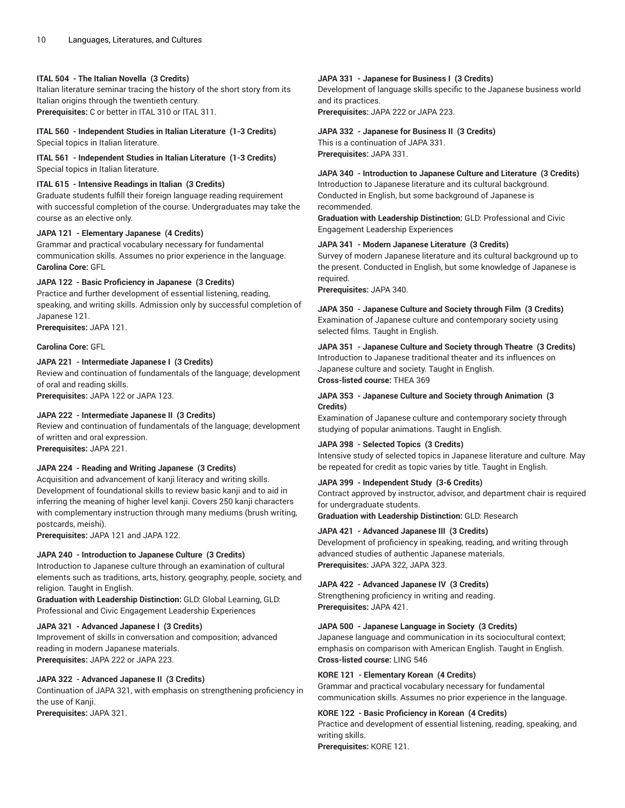#### **ITAL 504 - The Italian Novella (3 Credits)**

Italian literature seminar tracing the history of the short story from its Italian origins through the twentieth century. **Prerequisites:** C or better in ITAL 310 or ITAL 311.

#### **ITAL 560 - Independent Studies in Italian Literature (1-3 Credits)** Special topics in Italian literature.

**ITAL 561 - Independent Studies in Italian Literature (1-3 Credits)** Special topics in Italian literature.

## **ITAL 615 - Intensive Readings in Italian (3 Credits)**

Graduate students fulfill their foreign language reading requirement with successful completion of the course. Undergraduates may take the course as an elective only.

## **JAPA 121 - Elementary Japanese (4 Credits)**

Grammar and practical vocabulary necessary for fundamental communication skills. Assumes no prior experience in the language. **Carolina Core:** GFL

## **JAPA 122 - Basic Proficiency in Japanese (3 Credits)**

Practice and further development of essential listening, reading, speaking, and writing skills. Admission only by successful completion of Japanese 121.

**Prerequisites:** JAPA 121.

## **Carolina Core:** GFL

## **JAPA 221 - Intermediate Japanese I (3 Credits)**

Review and continuation of fundamentals of the language; development of oral and reading skills.

**Prerequisites:** JAPA 122 or JAPA 123.

## **JAPA 222 - Intermediate Japanese II (3 Credits)**

Review and continuation of fundamentals of the language; development of written and oral expression. **Prerequisites:** JAPA 221.

#### **JAPA 224 - Reading and Writing Japanese (3 Credits)**

Acquisition and advancement of kanji literacy and writing skills. Development of foundational skills to review basic kanij and to aid in inferring the meaning of higher level kanji. Covers 250 kanji characters with complementary instruction through many mediums (brush writing, postcards, meishi).

**Prerequisites:** JAPA 121 and JAPA 122.

## **JAPA 240 - Introduction to Japanese Culture (3 Credits)**

Introduction to Japanese culture through an examination of cultural elements such as traditions, arts, history, geography, people, society, and religion. Taught in English.

**Graduation with Leadership Distinction:** GLD: Global Learning, GLD: Professional and Civic Engagement Leadership Experiences

#### **JAPA 321 - Advanced Japanese I (3 Credits)**

Improvement of skills in conversation and composition; advanced reading in modern Japanese materials. **Prerequisites:** JAPA 222 or JAPA 223.

#### **JAPA 322 - Advanced Japanese II (3 Credits)**

Continuation of JAPA 321, with emphasis on strengthening proficiency in the use of Kanji.

**Prerequisites:** JAPA 321.

## **JAPA 331 - Japanese for Business I (3 Credits)**

Development of language skills specific to the Japanese business world and its practices.

**Prerequisites:** JAPA 222 or JAPA 223.

## **JAPA 332 - Japanese for Business II (3 Credits)**

This is a continuation of JAPA 331. **Prerequisites:** JAPA 331.

## **JAPA 340 - Introduction to Japanese Culture and Literature (3 Credits)**

Introduction to Japanese literature and its cultural background. Conducted in English, but some background of Japanese is recommended.

**Graduation with Leadership Distinction:** GLD: Professional and Civic Engagement Leadership Experiences

#### **JAPA 341 - Modern Japanese Literature (3 Credits)**

Survey of modern Japanese literature and its cultural background up to the present. Conducted in English, but some knowledge of Japanese is required.

**Prerequisites:** JAPA 340.

**JAPA 350 - Japanese Culture and Society through Film (3 Credits)** Examination of Japanese culture and contemporary society using selected films. Taught in English.

**JAPA 351 - Japanese Culture and Society through Theatre (3 Credits)** Introduction to Japanese traditional theater and its influences on Japanese culture and society. Taught in English. **Cross-listed course:** THEA 369

## **JAPA 353 - Japanese Culture and Society through Animation (3 Credits)**

Examination of Japanese culture and contemporary society through studying of popular animations. Taught in English.

#### **JAPA 398 - Selected Topics (3 Credits)**

Intensive study of selected topics in Japanese literature and culture. May be repeated for credit as topic varies by title. Taught in English.

## **JAPA 399 - Independent Study (3-6 Credits)**

Contract approved by instructor, advisor, and department chair is required for undergraduate students.

**Graduation with Leadership Distinction:** GLD: Research

#### **JAPA 421 - Advanced Japanese III (3 Credits)**

Development of proficiency in speaking, reading, and writing through advanced studies of authentic Japanese materials. **Prerequisites:** JAPA 322, JAPA 323.

#### **JAPA 422 - Advanced Japanese IV (3 Credits)**

Strengthening proficiency in writing and reading. **Prerequisites:** JAPA 421.

#### **JAPA 500 - Japanese Language in Society (3 Credits)**

Japanese language and communication in its sociocultural context; emphasis on comparison with American English. Taught in English. **Cross-listed course:** LING 546

#### **KORE 121 - Elementary Korean (4 Credits)**

Grammar and practical vocabulary necessary for fundamental communication skills. Assumes no prior experience in the language.

## **KORE 122 - Basic Proficiency in Korean (4 Credits)**

Practice and development of essential listening, reading, speaking, and writing skills.

**Prerequisites:** KORE 121.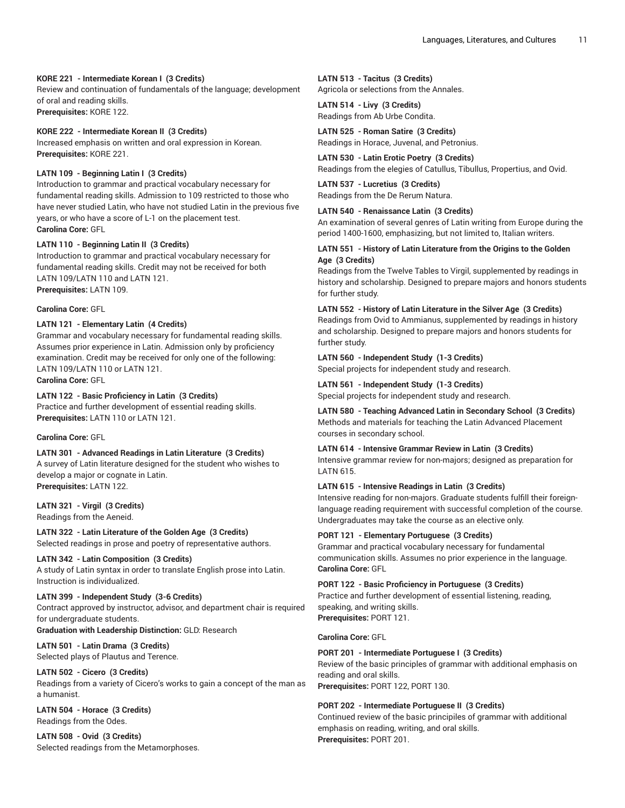## **KORE 221 - Intermediate Korean I (3 Credits)**

Review and continuation of fundamentals of the language; development of oral and reading skills. **Prerequisites:** KORE 122.

#### **KORE 222 - Intermediate Korean II (3 Credits)**

Increased emphasis on written and oral expression in Korean. **Prerequisites:** KORE 221.

## **LATN 109 - Beginning Latin I (3 Credits)**

Introduction to grammar and practical vocabulary necessary for fundamental reading skills. Admission to 109 restricted to those who have never studied Latin, who have not studied Latin in the previous five years, or who have a score of L-1 on the placement test. **Carolina Core:** GFL

## **LATN 110 - Beginning Latin II (3 Credits)**

Introduction to grammar and practical vocabulary necessary for fundamental reading skills. Credit may not be received for both LATN 109/LATN 110 and LATN 121. **Prerequisites:** LATN 109.

## **Carolina Core:** GFL

## **LATN 121 - Elementary Latin (4 Credits)**

Grammar and vocabulary necessary for fundamental reading skills. Assumes prior experience in Latin. Admission only by proficiency examination. Credit may be received for only one of the following: LATN 109/LATN 110 or LATN 121.

**Carolina Core:** GFL

## **LATN 122 - Basic Proficiency in Latin (3 Credits)**

Practice and further development of essential reading skills. **Prerequisites:** LATN 110 or LATN 121.

#### **Carolina Core:** GFL

**LATN 301 - Advanced Readings in Latin Literature (3 Credits)** A survey of Latin literature designed for the student who wishes to develop a major or cognate in Latin. **Prerequisites:** LATN 122.

**LATN 321 - Virgil (3 Credits)** Readings from the Aeneid.

#### **LATN 322 - Latin Literature of the Golden Age (3 Credits)** Selected readings in prose and poetry of representative authors.

## **LATN 342 - Latin Composition (3 Credits)**

A study of Latin syntax in order to translate English prose into Latin. Instruction is individualized.

## **LATN 399 - Independent Study (3-6 Credits)**

Contract approved by instructor, advisor, and department chair is required for undergraduate students.

**Graduation with Leadership Distinction:** GLD: Research

## **LATN 501 - Latin Drama (3 Credits)**

Selected plays of Plautus and Terence.

## **LATN 502 - Cicero (3 Credits)**

Readings from a variety of Cicero's works to gain a concept of the man as a humanist.

#### **LATN 504 - Horace (3 Credits)** Readings from the Odes.

**LATN 508 - Ovid (3 Credits)** Selected readings from the Metamorphoses.

## **LATN 513 - Tacitus (3 Credits)**

Agricola or selections from the Annales.

#### **LATN 514 - Livy (3 Credits)** Readings from Ab Urbe Condita.

**LATN 525 - Roman Satire (3 Credits)** Readings in Horace, Juvenal, and Petronius.

## **LATN 530 - Latin Erotic Poetry (3 Credits)**

Readings from the elegies of Catullus, Tibullus, Propertius, and Ovid.

**LATN 537 - Lucretius (3 Credits)** Readings from the De Rerum Natura.

## **LATN 540 - Renaissance Latin (3 Credits)**

An examination of several genres of Latin writing from Europe during the period 1400-1600, emphasizing, but not limited to, Italian writers.

## **LATN 551 - History of Latin Literature from the Origins to the Golden Age (3 Credits)**

Readings from the Twelve Tables to Virgil, supplemented by readings in history and scholarship. Designed to prepare majors and honors students for further study.

## **LATN 552 - History of Latin Literature in the Silver Age (3 Credits)**

Readings from Ovid to Ammianus, supplemented by readings in history and scholarship. Designed to prepare majors and honors students for further study.

## **LATN 560 - Independent Study (1-3 Credits)**

Special projects for independent study and research.

## **LATN 561 - Independent Study (1-3 Credits)**

Special projects for independent study and research.

## **LATN 580 - Teaching Advanced Latin in Secondary School (3 Credits)** Methods and materials for teaching the Latin Advanced Placement courses in secondary school.

## **LATN 614 - Intensive Grammar Review in Latin (3 Credits)**

Intensive grammar review for non-majors; designed as preparation for LATN 615.

## **LATN 615 - Intensive Readings in Latin (3 Credits)**

Intensive reading for non-majors. Graduate students fulfill their foreignlanguage reading requirement with successful completion of the course. Undergraduates may take the course as an elective only.

## **PORT 121 - Elementary Portuguese (3 Credits)**

Grammar and practical vocabulary necessary for fundamental communication skills. Assumes no prior experience in the language. **Carolina Core:** GFL

#### **PORT 122 - Basic Proficiency in Portuguese (3 Credits)**

Practice and further development of essential listening, reading, speaking, and writing skills. **Prerequisites:** PORT 121.

#### **Carolina Core:** GFL

#### **PORT 201 - Intermediate Portuguese I (3 Credits)**

Review of the basic principles of grammar with additional emphasis on reading and oral skills.

**Prerequisites:** PORT 122, PORT 130.

## **PORT 202 - Intermediate Portuguese II (3 Credits)**

Continued review of the basic principiles of grammar with additional emphasis on reading, writing, and oral skills. **Prerequisites:** PORT 201.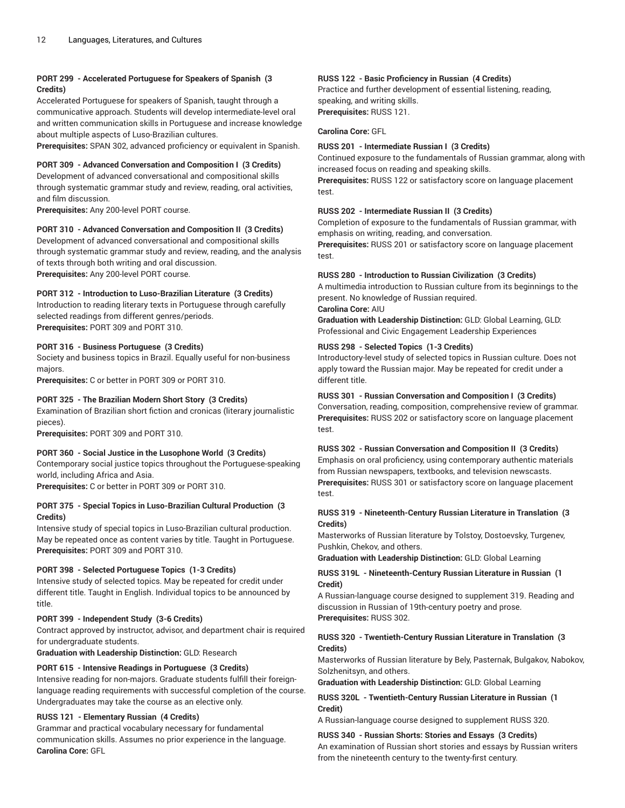## **PORT 299 - Accelerated Portuguese for Speakers of Spanish (3 Credits)**

Accelerated Portuguese for speakers of Spanish, taught through a communicative approach. Students will develop intermediate-level oral and written communication skills in Portuguese and increase knowledge about multiple aspects of Luso-Brazilian cultures.

**Prerequisites:** SPAN 302, advanced proficiency or equivalent in Spanish.

## **PORT 309 - Advanced Conversation and Composition I (3 Credits)**

Development of advanced conversational and compositional skills through systematic grammar study and review, reading, oral activities, and film discussion.

**Prerequisites:** Any 200-level PORT course.

## **PORT 310 - Advanced Conversation and Composition II (3 Credits)**

Development of advanced conversational and compositional skills through systematic grammar study and review, reading, and the analysis of texts through both writing and oral discussion. **Prerequisites:** Any 200-level PORT course.

## **PORT 312 - Introduction to Luso-Brazilian Literature (3 Credits)**

Introduction to reading literary texts in Portuguese through carefully selected readings from different genres/periods. **Prerequisites:** PORT 309 and PORT 310.

## **PORT 316 - Business Portuguese (3 Credits)**

Society and business topics in Brazil. Equally useful for non-business majors.

**Prerequisites:** C or better in PORT 309 or PORT 310.

#### **PORT 325 - The Brazilian Modern Short Story (3 Credits)**

Examination of Brazilian short fiction and cronicas (literary journalistic pieces).

**Prerequisites:** PORT 309 and PORT 310.

## **PORT 360 - Social Justice in the Lusophone World (3 Credits)** Contemporary social justice topics throughout the Portuguese-speaking world, including Africa and Asia.

**Prerequisites:** C or better in PORT 309 or PORT 310.

#### **PORT 375 - Special Topics in Luso-Brazilian Cultural Production (3 Credits)**

Intensive study of special topics in Luso-Brazilian cultural production. May be repeated once as content varies by title. Taught in Portuguese. **Prerequisites:** PORT 309 and PORT 310.

#### **PORT 398 - Selected Portuguese Topics (1-3 Credits)**

Intensive study of selected topics. May be repeated for credit under different title. Taught in English. Individual topics to be announced by title.

#### **PORT 399 - Independent Study (3-6 Credits)**

Contract approved by instructor, advisor, and department chair is required for undergraduate students.

**Graduation with Leadership Distinction:** GLD: Research

## **PORT 615 - Intensive Readings in Portuguese (3 Credits)**

Intensive reading for non-majors. Graduate students fulfill their foreignlanguage reading requirements with successful completion of the course. Undergraduates may take the course as an elective only.

## **RUSS 121 - Elementary Russian (4 Credits)**

Grammar and practical vocabulary necessary for fundamental communication skills. Assumes no prior experience in the language. **Carolina Core:** GFL

## **RUSS 122 - Basic Proficiency in Russian (4 Credits)**

Practice and further development of essential listening, reading, speaking, and writing skills. **Prerequisites:** RUSS 121.

## **Carolina Core:** GFL

#### **RUSS 201 - Intermediate Russian I (3 Credits)**

Continued exposure to the fundamentals of Russian grammar, along with increased focus on reading and speaking skills.

**Prerequisites:** RUSS 122 or satisfactory score on language placement test.

#### **RUSS 202 - Intermediate Russian II (3 Credits)**

Completion of exposure to the fundamentals of Russian grammar, with emphasis on writing, reading, and conversation.

**Prerequisites:** RUSS 201 or satisfactory score on language placement test.

#### **RUSS 280 - Introduction to Russian Civilization (3 Credits)**

A multimedia introduction to Russian culture from its beginnings to the present. No knowledge of Russian required.

## **Carolina Core:** AIU

**Graduation with Leadership Distinction:** GLD: Global Learning, GLD: Professional and Civic Engagement Leadership Experiences

#### **RUSS 298 - Selected Topics (1-3 Credits)**

Introductory-level study of selected topics in Russian culture. Does not apply toward the Russian major. May be repeated for credit under a different title.

#### **RUSS 301 - Russian Conversation and Composition I (3 Credits)**

Conversation, reading, composition, comprehensive review of grammar. **Prerequisites:** RUSS 202 or satisfactory score on language placement test.

#### **RUSS 302 - Russian Conversation and Composition II (3 Credits)**

Emphasis on oral proficiency, using contemporary authentic materials from Russian newspapers, textbooks, and television newscasts. **Prerequisites:** RUSS 301 or satisfactory score on language placement test.

## **RUSS 319 - Nineteenth-Century Russian Literature in Translation (3 Credits)**

Masterworks of Russian literature by Tolstoy, Dostoevsky, Turgenev, Pushkin, Chekov, and others.

**Graduation with Leadership Distinction:** GLD: Global Learning

#### **RUSS 319L - Nineteenth-Century Russian Literature in Russian (1 Credit)**

A Russian-language course designed to supplement 319. Reading and discussion in Russian of 19th-century poetry and prose. **Prerequisites:** RUSS 302.

## **RUSS 320 - Twentieth-Century Russian Literature in Translation (3 Credits)**

Masterworks of Russian literature by Bely, Pasternak, Bulgakov, Nabokov, Solzhenitsyn, and others.

**Graduation with Leadership Distinction:** GLD: Global Learning

**RUSS 320L - Twentieth-Century Russian Literature in Russian (1 Credit)**

A Russian-language course designed to supplement RUSS 320.

#### **RUSS 340 - Russian Shorts: Stories and Essays (3 Credits)**

An examination of Russian short stories and essays by Russian writers from the nineteenth century to the twenty-first century.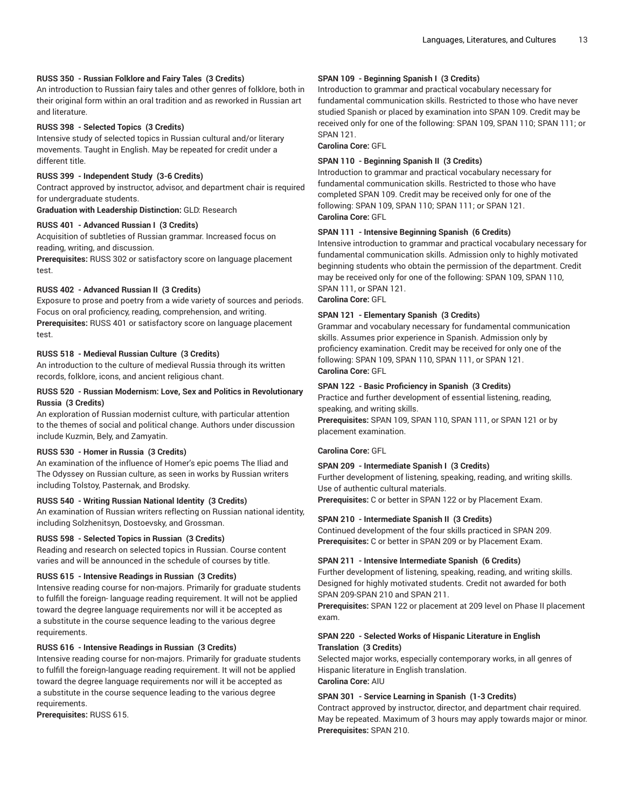## **RUSS 350 - Russian Folklore and Fairy Tales (3 Credits)**

An introduction to Russian fairy tales and other genres of folklore, both in their original form within an oral tradition and as reworked in Russian art and literature.

#### **RUSS 398 - Selected Topics (3 Credits)**

Intensive study of selected topics in Russian cultural and/or literary movements. Taught in English. May be repeated for credit under a different title.

#### **RUSS 399 - Independent Study (3-6 Credits)**

Contract approved by instructor, advisor, and department chair is required for undergraduate students.

**Graduation with Leadership Distinction:** GLD: Research

## **RUSS 401 - Advanced Russian I (3 Credits)**

Acquisition of subtleties of Russian grammar. Increased focus on reading, writing, and discussion.

**Prerequisites:** RUSS 302 or satisfactory score on language placement test.

#### **RUSS 402 - Advanced Russian II (3 Credits)**

Exposure to prose and poetry from a wide variety of sources and periods. Focus on oral proficiency, reading, comprehension, and writing. **Prerequisites:** RUSS 401 or satisfactory score on language placement test.

#### **RUSS 518 - Medieval Russian Culture (3 Credits)**

An introduction to the culture of medieval Russia through its written records, folklore, icons, and ancient religious chant.

## **RUSS 520 - Russian Modernism: Love, Sex and Politics in Revolutionary Russia (3 Credits)**

An exploration of Russian modernist culture, with particular attention to the themes of social and political change. Authors under discussion include Kuzmin, Bely, and Zamyatin.

#### **RUSS 530 - Homer in Russia (3 Credits)**

An examination of the influence of Homer's epic poems The Iliad and The Odyssey on Russian culture, as seen in works by Russian writers including Tolstoy, Pasternak, and Brodsky.

#### **RUSS 540 - Writing Russian National Identity (3 Credits)**

An examination of Russian writers reflecting on Russian national identity, including Solzhenitsyn, Dostoevsky, and Grossman.

#### **RUSS 598 - Selected Topics in Russian (3 Credits)**

Reading and research on selected topics in Russian. Course content varies and will be announced in the schedule of courses by title.

#### **RUSS 615 - Intensive Readings in Russian (3 Credits)**

Intensive reading course for non-majors. Primarily for graduate students to fulfill the foreign- language reading requirement. It will not be applied toward the degree language requirements nor will it be accepted as a substitute in the course sequence leading to the various degree requirements.

#### **RUSS 616 - Intensive Readings in Russian (3 Credits)**

Intensive reading course for non-majors. Primarily for graduate students to fulfill the foreign-language reading requirement. It will not be applied toward the degree language requirements nor will it be accepted as a substitute in the course sequence leading to the various degree requirements.

**Prerequisites:** RUSS 615.

## **SPAN 109 - Beginning Spanish I (3 Credits)**

Introduction to grammar and practical vocabulary necessary for fundamental communication skills. Restricted to those who have never studied Spanish or placed by examination into SPAN 109. Credit may be received only for one of the following: SPAN 109, SPAN 110; SPAN 111; or SPAN 121.

**Carolina Core:** GFL

#### **SPAN 110 - Beginning Spanish II (3 Credits)**

Introduction to grammar and practical vocabulary necessary for fundamental communication skills. Restricted to those who have completed SPAN 109. Credit may be received only for one of the following: SPAN 109, SPAN 110; SPAN 111; or SPAN 121. **Carolina Core:** GFL

#### **SPAN 111 - Intensive Beginning Spanish (6 Credits)**

Intensive introduction to grammar and practical vocabulary necessary for fundamental communication skills. Admission only to highly motivated beginning students who obtain the permission of the department. Credit may be received only for one of the following: SPAN 109, SPAN 110, SPAN 111, or SPAN 121.

## **Carolina Core:** GFL

#### **SPAN 121 - Elementary Spanish (3 Credits)**

Grammar and vocabulary necessary for fundamental communication skills. Assumes prior experience in Spanish. Admission only by proficiency examination. Credit may be received for only one of the following: SPAN 109, SPAN 110, SPAN 111, or SPAN 121. **Carolina Core:** GFL

#### **SPAN 122 - Basic Proficiency in Spanish (3 Credits)**

Practice and further development of essential listening, reading, speaking, and writing skills. **Prerequisites:** SPAN 109, SPAN 110, SPAN 111, or SPAN 121 or by placement examination.

**Carolina Core:** GFL

#### **SPAN 209 - Intermediate Spanish I (3 Credits)**

Further development of listening, speaking, reading, and writing skills. Use of authentic cultural materials.

**Prerequisites:** C or better in SPAN 122 or by Placement Exam.

#### **SPAN 210 - Intermediate Spanish II (3 Credits)**

Continued development of the four skills practiced in SPAN 209. **Prerequisites:** C or better in SPAN 209 or by Placement Exam.

#### **SPAN 211 - Intensive Intermediate Spanish (6 Credits)**

Further development of listening, speaking, reading, and writing skills. Designed for highly motivated students. Credit not awarded for both SPAN 209-SPAN 210 and SPAN 211.

**Prerequisites:** SPAN 122 or placement at 209 level on Phase II placement exam.

## **SPAN 220 - Selected Works of Hispanic Literature in English Translation (3 Credits)**

Selected major works, especially contemporary works, in all genres of Hispanic literature in English translation. **Carolina Core:** AIU

#### **SPAN 301 - Service Learning in Spanish (1-3 Credits)**

Contract approved by instructor, director, and department chair required. May be repeated. Maximum of 3 hours may apply towards major or minor. **Prerequisites:** SPAN 210.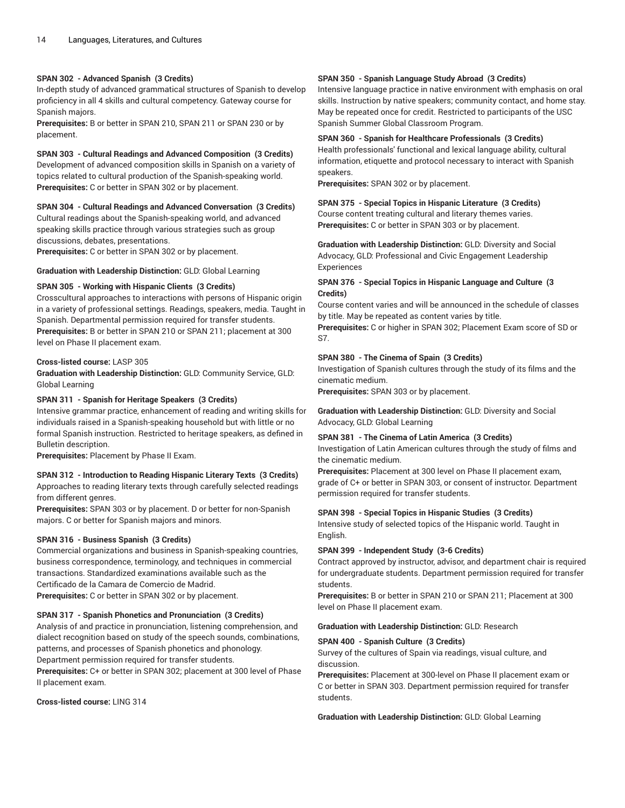#### **SPAN 302 - Advanced Spanish (3 Credits)**

In-depth study of advanced grammatical structures of Spanish to develop proficiency in all 4 skills and cultural competency. Gateway course for Spanish majors.

**Prerequisites:** B or better in SPAN 210, SPAN 211 or SPAN 230 or by placement.

**SPAN 303 - Cultural Readings and Advanced Composition (3 Credits)**

Development of advanced composition skills in Spanish on a variety of topics related to cultural production of the Spanish-speaking world. **Prerequisites:** C or better in SPAN 302 or by placement.

#### **SPAN 304 - Cultural Readings and Advanced Conversation (3 Credits)**

Cultural readings about the Spanish-speaking world, and advanced speaking skills practice through various strategies such as group discussions, debates, presentations.

**Prerequisites:** C or better in SPAN 302 or by placement.

**Graduation with Leadership Distinction:** GLD: Global Learning

## **SPAN 305 - Working with Hispanic Clients (3 Credits)**

Crosscultural approaches to interactions with persons of Hispanic origin in a variety of professional settings. Readings, speakers, media. Taught in Spanish. Departmental permission required for transfer students. **Prerequisites:** B or better in SPAN 210 or SPAN 211; placement at 300 level on Phase II placement exam.

#### **Cross-listed course:** LASP 305

**Graduation with Leadership Distinction:** GLD: Community Service, GLD: Global Learning

## **SPAN 311 - Spanish for Heritage Speakers (3 Credits)**

Intensive grammar practice, enhancement of reading and writing skills for individuals raised in a Spanish-speaking household but with little or no formal Spanish instruction. Restricted to heritage speakers, as defined in Bulletin description.

**Prerequisites:** Placement by Phase II Exam.

## **SPAN 312 - Introduction to Reading Hispanic Literary Texts (3 Credits)**

Approaches to reading literary texts through carefully selected readings from different genres.

**Prerequisites:** SPAN 303 or by placement. D or better for non-Spanish majors. C or better for Spanish majors and minors.

#### **SPAN 316 - Business Spanish (3 Credits)**

Commercial organizations and business in Spanish-speaking countries, business correspondence, terminology, and techniques in commercial transactions. Standardized examinations available such as the Certificado de la Camara de Comercio de Madrid. **Prerequisites:** C or better in SPAN 302 or by placement.

#### **SPAN 317 - Spanish Phonetics and Pronunciation (3 Credits)**

Analysis of and practice in pronunciation, listening comprehension, and dialect recognition based on study of the speech sounds, combinations, patterns, and processes of Spanish phonetics and phonology. Department permission required for transfer students.

**Prerequisites:** C+ or better in SPAN 302; placement at 300 level of Phase II placement exam.

**Cross-listed course:** LING 314

#### **SPAN 350 - Spanish Language Study Abroad (3 Credits)**

Intensive language practice in native environment with emphasis on oral skills. Instruction by native speakers; community contact, and home stay. May be repeated once for credit. Restricted to participants of the USC Spanish Summer Global Classroom Program.

#### **SPAN 360 - Spanish for Healthcare Professionals (3 Credits)**

Health professionals' functional and lexical language ability, cultural information, etiquette and protocol necessary to interact with Spanish speakers.

**Prerequisites:** SPAN 302 or by placement.

## **SPAN 375 - Special Topics in Hispanic Literature (3 Credits)**

Course content treating cultural and literary themes varies. **Prerequisites:** C or better in SPAN 303 or by placement.

**Graduation with Leadership Distinction:** GLD: Diversity and Social Advocacy, GLD: Professional and Civic Engagement Leadership **Experiences** 

## **SPAN 376 - Special Topics in Hispanic Language and Culture (3 Credits)**

Course content varies and will be announced in the schedule of classes by title. May be repeated as content varies by title.

**Prerequisites:** C or higher in SPAN 302; Placement Exam score of SD or S7.

## **SPAN 380 - The Cinema of Spain (3 Credits)**

Investigation of Spanish cultures through the study of its films and the cinematic medium.

**Prerequisites:** SPAN 303 or by placement.

**Graduation with Leadership Distinction:** GLD: Diversity and Social Advocacy, GLD: Global Learning

#### **SPAN 381 - The Cinema of Latin America (3 Credits)**

Investigation of Latin American cultures through the study of films and the cinematic medium.

**Prerequisites:** Placement at 300 level on Phase II placement exam, grade of C+ or better in SPAN 303, or consent of instructor. Department permission required for transfer students.

#### **SPAN 398 - Special Topics in Hispanic Studies (3 Credits)**

Intensive study of selected topics of the Hispanic world. Taught in English.

#### **SPAN 399 - Independent Study (3-6 Credits)**

Contract approved by instructor, advisor, and department chair is required for undergraduate students. Department permission required for transfer students.

**Prerequisites:** B or better in SPAN 210 or SPAN 211; Placement at 300 level on Phase II placement exam.

#### **Graduation with Leadership Distinction:** GLD: Research

#### **SPAN 400 - Spanish Culture (3 Credits)**

Survey of the cultures of Spain via readings, visual culture, and discussion.

**Prerequisites:** Placement at 300-level on Phase II placement exam or C or better in SPAN 303. Department permission required for transfer students.

**Graduation with Leadership Distinction:** GLD: Global Learning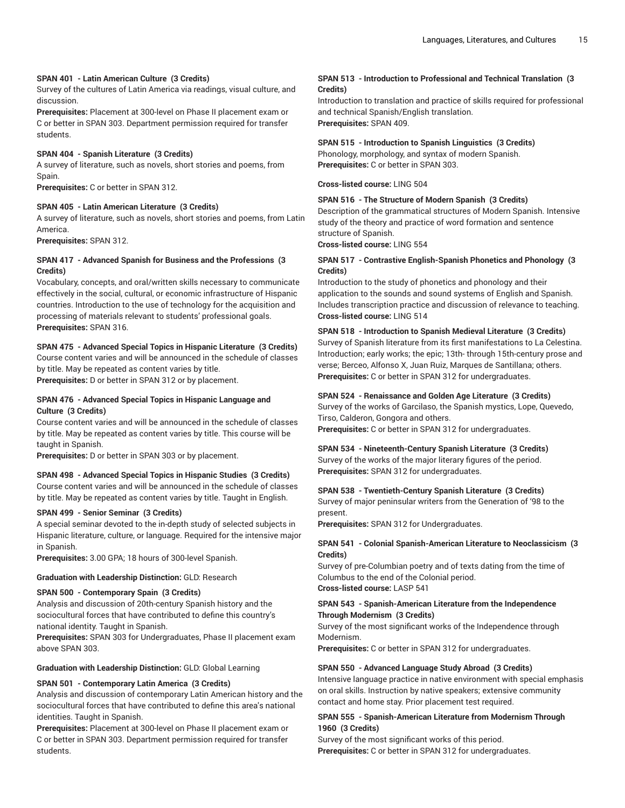#### **SPAN 401 - Latin American Culture (3 Credits)**

Survey of the cultures of Latin America via readings, visual culture, and discussion.

**Prerequisites:** Placement at 300-level on Phase II placement exam or C or better in SPAN 303. Department permission required for transfer students.

#### **SPAN 404 - Spanish Literature (3 Credits)**

A survey of literature, such as novels, short stories and poems, from Spain.

**Prerequisites:** C or better in SPAN 312.

#### **SPAN 405 - Latin American Literature (3 Credits)**

A survey of literature, such as novels, short stories and poems, from Latin America.

**Prerequisites:** SPAN 312.

## **SPAN 417 - Advanced Spanish for Business and the Professions (3 Credits)**

Vocabulary, concepts, and oral/written skills necessary to communicate effectively in the social, cultural, or economic infrastructure of Hispanic countries. Introduction to the use of technology for the acquisition and processing of materials relevant to students' professional goals. **Prerequisites:** SPAN 316.

#### **SPAN 475 - Advanced Special Topics in Hispanic Literature (3 Credits)**

Course content varies and will be announced in the schedule of classes by title. May be repeated as content varies by title.

**Prerequisites:** D or better in SPAN 312 or by placement.

#### **SPAN 476 - Advanced Special Topics in Hispanic Language and Culture (3 Credits)**

Course content varies and will be announced in the schedule of classes by title. May be repeated as content varies by title. This course will be taught in Spanish.

**Prerequisites:** D or better in SPAN 303 or by placement.

#### **SPAN 498 - Advanced Special Topics in Hispanic Studies (3 Credits)**

Course content varies and will be announced in the schedule of classes by title. May be repeated as content varies by title. Taught in English.

#### **SPAN 499 - Senior Seminar (3 Credits)**

A special seminar devoted to the in-depth study of selected subjects in Hispanic literature, culture, or language. Required for the intensive major in Spanish.

**Prerequisites:** 3.00 GPA; 18 hours of 300-level Spanish.

## **Graduation with Leadership Distinction:** GLD: Research

#### **SPAN 500 - Contemporary Spain (3 Credits)**

Analysis and discussion of 20th-century Spanish history and the sociocultural forces that have contributed to define this country's national identity. Taught in Spanish.

**Prerequisites:** SPAN 303 for Undergraduates, Phase II placement exam above SPAN 303.

## **Graduation with Leadership Distinction:** GLD: Global Learning

#### **SPAN 501 - Contemporary Latin America (3 Credits)**

Analysis and discussion of contemporary Latin American history and the sociocultural forces that have contributed to define this area's national identities. Taught in Spanish.

**Prerequisites:** Placement at 300-level on Phase II placement exam or C or better in SPAN 303. Department permission required for transfer students.

## **SPAN 513 - Introduction to Professional and Technical Translation (3 Credits)**

Introduction to translation and practice of skills required for professional and technical Spanish/English translation. **Prerequisites:** SPAN 409.

## **SPAN 515 - Introduction to Spanish Linguistics (3 Credits)**

Phonology, morphology, and syntax of modern Spanish. **Prerequisites:** C or better in SPAN 303.

**Cross-listed course:** LING 504

#### **SPAN 516 - The Structure of Modern Spanish (3 Credits)**

Description of the grammatical structures of Modern Spanish. Intensive study of the theory and practice of word formation and sentence structure of Spanish.

**Cross-listed course:** LING 554

#### **SPAN 517 - Contrastive English-Spanish Phonetics and Phonology (3 Credits)**

Introduction to the study of phonetics and phonology and their application to the sounds and sound systems of English and Spanish. Includes transcription practice and discussion of relevance to teaching. **Cross-listed course:** LING 514

## **SPAN 518 - Introduction to Spanish Medieval Literature (3 Credits)**

Survey of Spanish literature from its first manifestations to La Celestina. Introduction; early works; the epic; 13th- through 15th-century prose and verse; Berceo, Alfonso X, Juan Ruiz, Marques de Santillana; others. **Prerequisites:** C or better in SPAN 312 for undergraduates.

#### **SPAN 524 - Renaissance and Golden Age Literature (3 Credits)**

Survey of the works of Garcilaso, the Spanish mystics, Lope, Quevedo, Tirso, Calderon, Gongora and others.

**Prerequisites:** C or better in SPAN 312 for undergraduates.

#### **SPAN 534 - Nineteenth-Century Spanish Literature (3 Credits)**

Survey of the works of the major literary figures of the period. **Prerequisites:** SPAN 312 for undergraduates.

#### **SPAN 538 - Twentieth-Century Spanish Literature (3 Credits)**

Survey of major peninsular writers from the Generation of '98 to the present.

**Prerequisites:** SPAN 312 for Undergraduates.

#### **SPAN 541 - Colonial Spanish-American Literature to Neoclassicism (3 Credits)**

Survey of pre-Columbian poetry and of texts dating from the time of Columbus to the end of the Colonial period. **Cross-listed course:** LASP 541

#### **SPAN 543 - Spanish-American Literature from the Independence Through Modernism (3 Credits)**

Survey of the most significant works of the Independence through Modernism.

**Prerequisites:** C or better in SPAN 312 for undergraduates.

#### **SPAN 550 - Advanced Language Study Abroad (3 Credits)**

Intensive language practice in native environment with special emphasis on oral skills. Instruction by native speakers; extensive community contact and home stay. Prior placement test required.

## **SPAN 555 - Spanish-American Literature from Modernism Through 1960 (3 Credits)**

Survey of the most significant works of this period. **Prerequisites:** C or better in SPAN 312 for undergraduates.